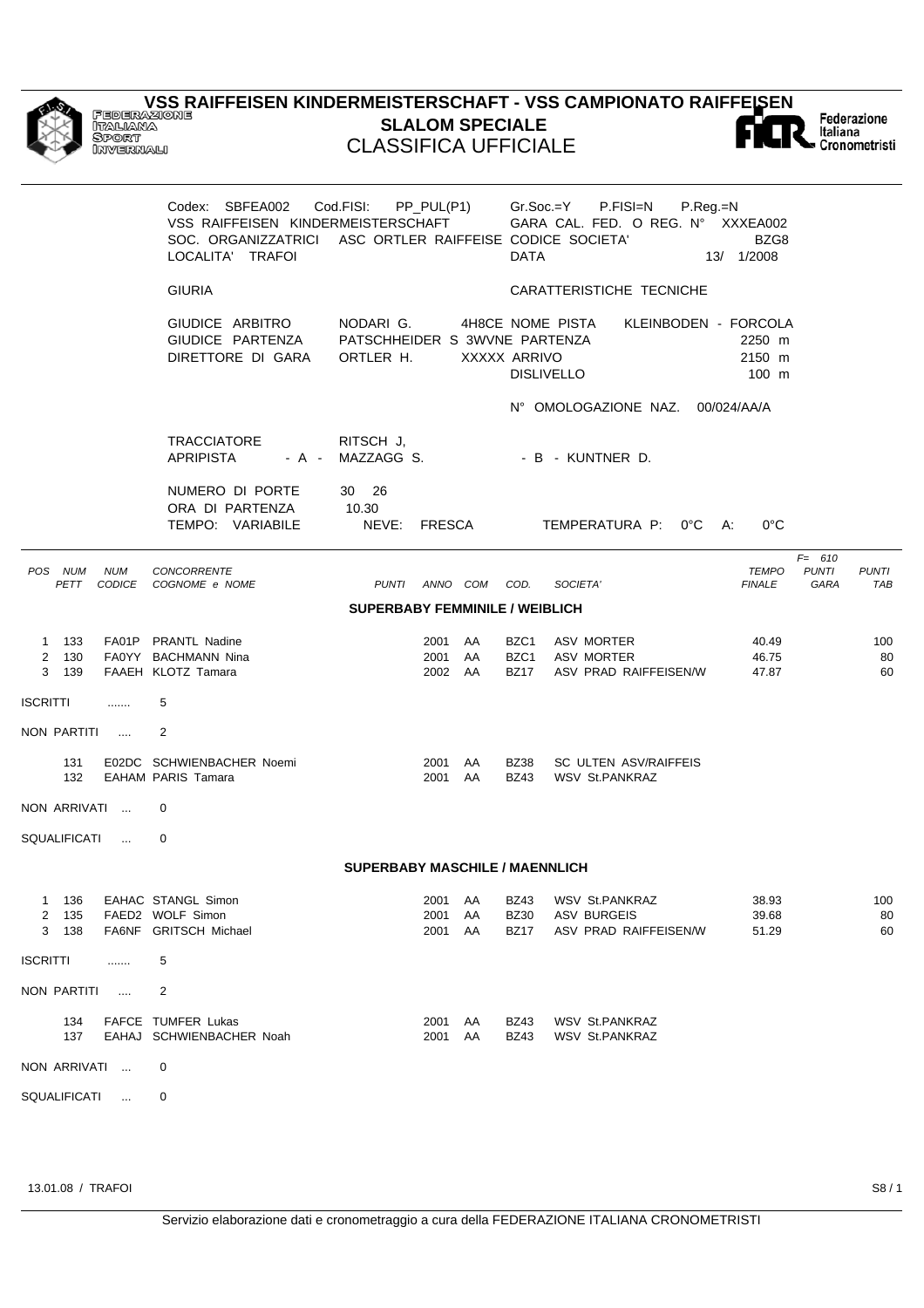|                               | Federazione<br>Italiana<br>Sport<br>INVERNALI | <u>VSS RAIFFEISEN KINDERMEISTERSCHAFT - VSS CAMPIONATO RAIFFEISEN</u>                                                                 | <b>CLASSIFICA UFFICIALE</b>                             |                               | <b>SLALOM SPECIALE</b> |                             |                                                                 |                               | Italiana                          | Federazione<br>Cronometristi |
|-------------------------------|-----------------------------------------------|---------------------------------------------------------------------------------------------------------------------------------------|---------------------------------------------------------|-------------------------------|------------------------|-----------------------------|-----------------------------------------------------------------|-------------------------------|-----------------------------------|------------------------------|
|                               |                                               | Codex: SBFEA002<br>VSS RAIFFEISEN KINDERMEISTERSCHAFT<br>SOC. ORGANIZZATRICI ASC ORTLER RAIFFEISE CODICE SOCIETA'<br>LOCALITA' TRAFOI | Cod.FISI:                                               | PP_PUL(P1)                    |                        | $Gr.Soc = Y$<br><b>DATA</b> | P.FISI=N<br>P.Reg.=N<br>GARA CAL. FED. O REG. Nº XXXEA002       | BZG8<br>13/ 1/2008            |                                   |                              |
|                               |                                               | <b>GIURIA</b>                                                                                                                         |                                                         |                               |                        |                             | CARATTERISTICHE TECNICHE                                        |                               |                                   |                              |
|                               |                                               | GIUDICE ARBITRO<br>GIUDICE PARTENZA<br>DIRETTORE DI GARA                                                                              | NODARI G.<br>PATSCHHEIDER S 3WVNE PARTENZA<br>ORTLER H. |                               | XXXXX ARRIVO           |                             | 4H8CE NOME PISTA<br>KLEINBODEN - FORCOLA<br><b>DISLIVELLO</b>   | 2250 m<br>2150 m<br>100 m     |                                   |                              |
|                               |                                               |                                                                                                                                       |                                                         |                               |                        |                             | N° OMOLOGAZIONE NAZ. 00/024/AA/A                                |                               |                                   |                              |
|                               |                                               | <b>TRACCIATORE</b><br><b>APRIPISTA</b><br>$- A -$                                                                                     | RITSCH J.<br>MAZZAGG S.                                 |                               |                        |                             | - B - KUNTNER D.                                                |                               |                                   |                              |
|                               |                                               | NUMERO DI PORTE<br>ORA DI PARTENZA<br>TEMPO: VARIABILE                                                                                | 30 26<br>10.30<br>NEVE: FRESCA                          |                               |                        |                             | TEMPERATURA P:<br>$0^{\circ}$ C                                 | A:<br>$0^{\circ}$ C           |                                   |                              |
| POS NUM<br>PETT               | <b>NUM</b>                                    | CONCORRENTE<br>CODICE COGNOME e NOME                                                                                                  | <b>PUNTI</b>                                            | ANNO COM                      |                        | COD.                        | SOCIETA'                                                        | <b>TEMPO</b><br><b>FINALE</b> | $F = 610$<br><b>PUNTI</b><br>GARA | <b>PUNTI</b><br><b>TAB</b>   |
|                               |                                               |                                                                                                                                       | <b>SUPERBABY FEMMINILE / WEIBLICH</b>                   |                               |                        |                             |                                                                 |                               |                                   |                              |
| 1 133<br>2<br>130<br>3<br>139 |                                               | FA01P PRANTL Nadine<br>FA0YY BACHMANN Nina<br>FAAEH KLOTZ Tamara                                                                      |                                                         | 2001 AA<br>2001 AA<br>2002 AA |                        | BZC1<br>BZC1<br><b>BZ17</b> | <b>ASV MORTER</b><br><b>ASV MORTER</b><br>ASV PRAD RAIFFEISEN/W | 40.49<br>46.75<br>47.87       |                                   | 100<br>80<br>60              |
| ISCRITTI                      | .                                             | 5                                                                                                                                     |                                                         |                               |                        |                             |                                                                 |                               |                                   |                              |
| NON PARTITI                   |                                               | $\overline{2}$                                                                                                                        |                                                         |                               |                        |                             |                                                                 |                               |                                   |                              |
| 131<br>132                    |                                               | E02DC SCHWIENBACHER Noemi<br><b>EAHAM PARIS Tamara</b>                                                                                |                                                         | 2001<br>2001 AA               | AA                     | <b>BZ38</b><br><b>BZ43</b>  | SC ULTEN ASV/RAIFFEIS<br><b>WSV St.PANKRAZ</b>                  |                               |                                   |                              |
| NON ARRIVATI                  |                                               | 0                                                                                                                                     |                                                         |                               |                        |                             |                                                                 |                               |                                   |                              |
| SQUALIFICATI                  | $\overline{a}$                                | $\Omega$                                                                                                                              |                                                         |                               |                        |                             |                                                                 |                               |                                   |                              |
|                               |                                               |                                                                                                                                       | $\bigcap_{i=1}^{n}$                                     |                               |                        |                             |                                                                 |                               |                                   |                              |

## **SUPERBABY MASCHILE / MAENNLICH**

| 2<br>3          | 136<br>135<br>138 |           | EAHAC STANGL Simon<br>FAED2 WOLF Simon<br>FA6NF GRITSCH Michael | 2001<br>2001<br>2001 | AA<br>AA<br>AA | <b>BZ43</b><br><b>BZ30</b><br><b>BZ17</b> | <b>WSV St.PANKRAZ</b><br>ASV BURGEIS<br>ASV PRAD RAIFFEISEN/W | 38.93<br>39.68<br>51.29 | 100<br>80<br>60 |
|-----------------|-------------------|-----------|-----------------------------------------------------------------|----------------------|----------------|-------------------------------------------|---------------------------------------------------------------|-------------------------|-----------------|
| <b>ISCRITTI</b> |                   |           | 5                                                               |                      |                |                                           |                                                               |                         |                 |
|                 | NON PARTITI       | $\cdots$  | 2                                                               |                      |                |                                           |                                                               |                         |                 |
|                 | 134<br>137        |           | <b>FAFCE TUMFER Lukas</b><br>EAHAJ SCHWIENBACHER Noah           | 2001<br>2001         | AA<br>AA       | <b>BZ43</b><br><b>BZ43</b>                | <b>WSV St.PANKRAZ</b><br><b>WSV St.PANKRAZ</b>                |                         |                 |
|                 | NON ARRIVATI      | $\ddotsc$ | $\Omega$                                                        |                      |                |                                           |                                                               |                         |                 |

SQUALIFICATI ... 0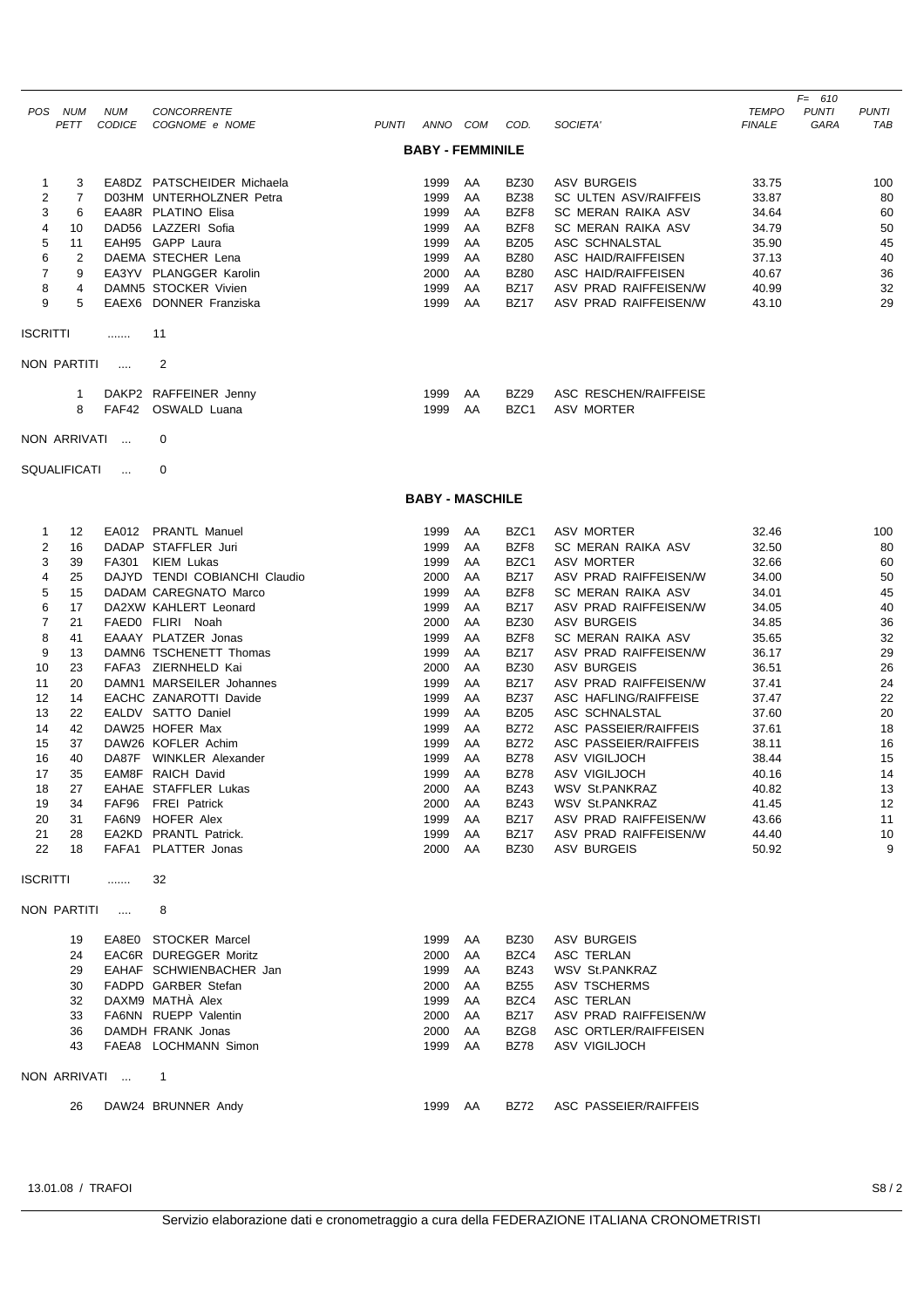|                 |                     |               |                               |              |          |                         |                  |                              |               | $F = 610$    |              |
|-----------------|---------------------|---------------|-------------------------------|--------------|----------|-------------------------|------------------|------------------------------|---------------|--------------|--------------|
|                 | POS NUM             | <b>NUM</b>    | CONCORRENTE                   |              |          |                         |                  |                              | <b>TEMPO</b>  | <b>PUNTI</b> | <b>PUNTI</b> |
|                 | <b>PETT</b>         | <b>CODICE</b> | COGNOME e NOME                | <b>PUNTI</b> | ANNO COM |                         | COD.             | SOCIETA'                     | <b>FINALE</b> | <b>GARA</b>  | TAB          |
|                 |                     |               |                               |              |          | <b>BABY - FEMMINILE</b> |                  |                              |               |              |              |
|                 |                     |               |                               |              |          |                         |                  |                              |               |              |              |
| 1               | 3                   |               | EA8DZ PATSCHEIDER Michaela    |              | 1999     | AA                      | <b>BZ30</b>      | <b>ASV BURGEIS</b>           | 33.75         |              | 100          |
| 2               | 7                   |               | D03HM UNTERHOLZNER Petra      |              | 1999     | AA                      | <b>BZ38</b>      | <b>SC ULTEN ASV/RAIFFEIS</b> | 33.87         |              | 80           |
| 3               | 6                   |               | EAA8R PLATINO Elisa           |              | 1999     | AA                      | BZF8             | SC MERAN RAIKA ASV           | 34.64         |              | 60           |
| 4               | 10                  |               | DAD56 LAZZERI Sofia           |              | 1999     | AA                      | BZF8             | <b>SC MERAN RAIKA ASV</b>    | 34.79         |              | 50           |
| 5               | 11                  |               | EAH95 GAPP Laura              |              | 1999     | AA                      | <b>BZ05</b>      | ASC SCHNALSTAL               | 35.90         |              | 45           |
| 6               | 2                   |               | DAEMA STECHER Lena            |              | 1999     | AA                      | <b>BZ80</b>      | ASC HAID/RAIFFEISEN          | 37.13         |              | 40           |
| 7               | 9                   |               | EA3YV PLANGGER Karolin        |              | 2000     | AA                      | <b>BZ80</b>      | ASC HAID/RAIFFEISEN          | 40.67         |              | 36           |
| 8               | 4                   |               | DAMN5 STOCKER Vivien          |              | 1999     | AA                      | <b>BZ17</b>      | ASV PRAD RAIFFEISEN/W        | 40.99         |              | 32           |
| 9               | 5                   |               | EAEX6 DONNER Franziska        |              | 1999     | AA                      | <b>BZ17</b>      | ASV PRAD RAIFFEISEN/W        | 43.10         |              | 29           |
|                 |                     |               |                               |              |          |                         |                  |                              |               |              |              |
| <b>ISCRITTI</b> |                     | .             | 11                            |              |          |                         |                  |                              |               |              |              |
|                 | <b>NON PARTITI</b>  | $\cdots$      | $\overline{2}$                |              |          |                         |                  |                              |               |              |              |
|                 |                     |               |                               |              |          |                         |                  |                              |               |              |              |
|                 | 1                   |               | DAKP2 RAFFEINER Jenny         |              | 1999     | AA                      | <b>BZ29</b>      | ASC RESCHEN/RAIFFEISE        |               |              |              |
|                 | 8                   | FAF42         | OSWALD Luana                  |              | 1999     | AA                      | BZC1             | <b>ASV MORTER</b>            |               |              |              |
|                 |                     |               |                               |              |          |                         |                  |                              |               |              |              |
|                 | NON ARRIVATI        |               | 0                             |              |          |                         |                  |                              |               |              |              |
|                 |                     |               |                               |              |          |                         |                  |                              |               |              |              |
|                 | <b>SQUALIFICATI</b> | $\dddotsc$    | 0                             |              |          |                         |                  |                              |               |              |              |
|                 |                     |               |                               |              |          | <b>BABY - MASCHILE</b>  |                  |                              |               |              |              |
|                 |                     |               |                               |              |          |                         |                  |                              |               |              |              |
| 1               | 12                  |               | EA012 PRANTL Manuel           |              | 1999     | AA                      | BZC <sub>1</sub> | <b>ASV MORTER</b>            | 32.46         |              | 100          |
| $\overline{2}$  | 16                  |               | DADAP STAFFLER Juri           |              | 1999     | AA                      | BZF8             | SC MERAN RAIKA ASV           | 32.50         |              | 80           |
| 3               | 39                  |               | FA301 KIEM Lukas              |              | 1999     | AA                      | BZC1             | <b>ASV MORTER</b>            | 32.66         |              | 60           |
| $\overline{4}$  | 25                  |               | DAJYD TENDI COBIANCHI Claudio |              | 2000     | AA                      | <b>BZ17</b>      | ASV PRAD RAIFFEISEN/W        | 34.00         |              | 50           |
| 5               | 15                  |               | DADAM CAREGNATO Marco         |              | 1999     | AA                      | BZF8             | <b>SC MERAN RAIKA ASV</b>    | 34.01         |              | 45           |
| 6               | 17                  |               | DA2XW KAHLERT Leonard         |              | 1999     | AA                      | <b>BZ17</b>      | ASV PRAD RAIFFEISEN/W        | 34.05         |              | 40           |
| $\overline{7}$  | 21                  |               | FAFDO FLIRL Noah              |              | 2000     | AA                      | BZ30             | <b>ASV BURGEIS</b>           | 34.85         |              | 36           |

|         | 21 | FAEDO FLIRI<br>Noah             | 2000 | AA | <b>BZ30</b> | ASV BURGEIS           | 34.85 | 36 |
|---------|----|---------------------------------|------|----|-------------|-----------------------|-------|----|
| 8       | 41 | EAAAY PLATZER Jonas             | 1999 | AA | BZF8        | SC MERAN RAIKA ASV    | 35.65 | 32 |
| 9       | 13 | DAMN6 TSCHENETT Thomas          | 1999 | AA | <b>BZ17</b> | ASV PRAD RAIFFEISEN/W | 36.17 | 29 |
| 10      | 23 | FAFA3 ZIERNHELD Kai             | 2000 | AA | <b>BZ30</b> | <b>ASV BURGEIS</b>    | 36.51 | 26 |
| 11      | 20 | DAMN1 MARSEILER Johannes        | 1999 | AA | <b>BZ17</b> | ASV PRAD RAIFFEISEN/W | 37.41 | 24 |
| $12 \,$ | 14 | EACHC ZANAROTTI Davide          | 1999 | AA | <b>BZ37</b> | ASC HAFLING/RAIFFEISE | 37.47 | 22 |
| 13      | 22 | EALDV SATTO Daniel              | 1999 | AA | <b>BZ05</b> | ASC SCHNALSTAL        | 37.60 | 20 |
| 14      | 42 | DAW25 HOFER Max                 | 1999 | AA | <b>BZ72</b> | ASC PASSEIER/RAIFFEIS | 37.61 | 18 |
| 15      | 37 | DAW26 KOFLER Achim              | 1999 | AA | <b>BZ72</b> | ASC PASSEIER/RAIFFEIS | 38.11 | 16 |
| 16      | 40 | WINKLER Alexander<br>DA87F      | 1999 | AA | <b>BZ78</b> | ASV VIGILJOCH         | 38.44 | 15 |
| 17      | 35 | EAM8F RAICH David               | 1999 | AA | <b>BZ78</b> | ASV VIGILJOCH         | 40.16 | 14 |
| 18      | 27 | EAHAE STAFFLER Lukas            | 2000 | AA | <b>BZ43</b> | WSV St.PANKRAZ        | 40.82 | 13 |
| 19      | 34 | <b>FREI Patrick</b><br>FAF96    | 2000 | AA | <b>BZ43</b> | WSV St.PANKRAZ        | 41.45 | 12 |
| 20      | 31 | <b>HOFER Alex</b><br>FA6N9      | 1999 | AA | <b>BZ17</b> | ASV PRAD RAIFFEISEN/W | 43.66 | 11 |
| 21      | 28 | <b>PRANTL Patrick.</b><br>EA2KD | 1999 | AA | <b>BZ17</b> | ASV PRAD RAIFFEISEN/W | 44.40 | 10 |
| 22      | 18 | PLATTER Jonas<br>FAFA1          | 2000 | AA | <b>BZ30</b> | ASV BURGEIS           | 50.92 | 9  |
|         |    |                                 |      |    |             |                       |       |    |

```
ISCRITTI ....... 32
```
## NON PARTITI .... 8

| 19           | EA8E0 STOCKER Marcel    | 1999 | AA | <b>BZ30</b> | ASV BURGEIS           |
|--------------|-------------------------|------|----|-------------|-----------------------|
| 24           | EAC6R DUREGGER Moritz   | 2000 | AA | BZC4        | ASC TERLAN            |
| 29           | EAHAF SCHWIENBACHER Jan | 1999 | AA | <b>BZ43</b> | WSV St.PANKRAZ        |
| 30           | FADPD GARBER Stefan     | 2000 | AA | <b>BZ55</b> | ASV TSCHERMS          |
| 32           | DAXM9 MATHA Alex        | 1999 | AA | BZC4        | ASC TERLAN            |
| 33           | FA6NN RUEPP Valentin    | 2000 | AA | <b>BZ17</b> | ASV PRAD RAIFFEISEN/W |
| 36           | DAMDH FRANK Jonas       | 2000 | AA | BZG8        | ASC ORTLER/RAIFFEISEN |
| 43           | FAEA8 LOCHMANN Simon    | 1999 | AA | <b>BZ78</b> | ASV VIGILJOCH         |
| NON ARRIVATI |                         |      |    |             |                       |
| 26           | DAW24 BRUNNER Andy      | 1999 | AA | <b>BZ72</b> | ASC PASSEIER/RAIFFEIS |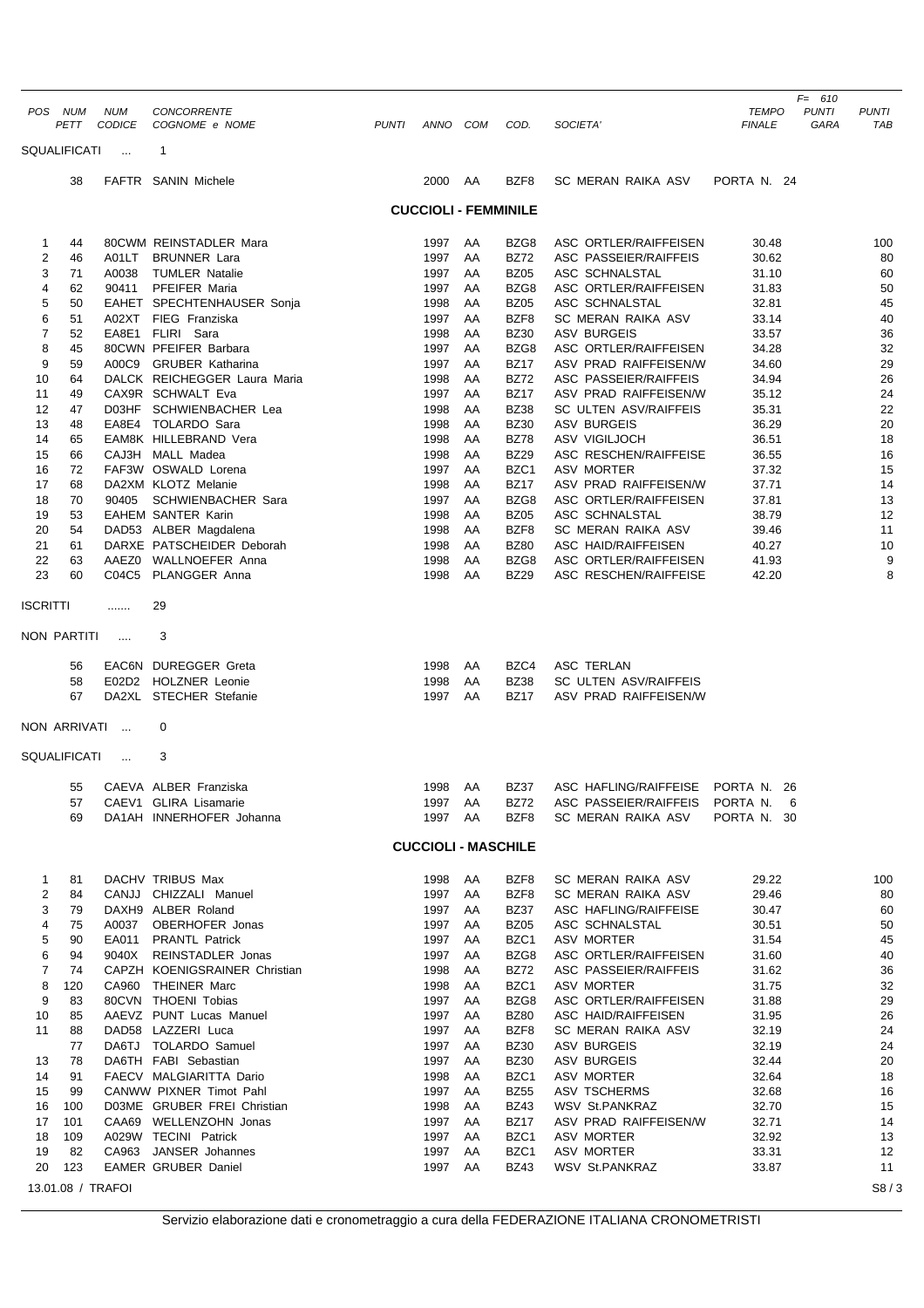|                     |           |                      |                                                          |              |                             |          |                            |                                                |                               | $F = 610$            |                     |
|---------------------|-----------|----------------------|----------------------------------------------------------|--------------|-----------------------------|----------|----------------------------|------------------------------------------------|-------------------------------|----------------------|---------------------|
| POS NUM             | PETT      | <b>NUM</b><br>CODICE | CONCORRENTE<br>COGNOME e NOME                            | <b>PUNTI</b> | ANNO COM                    |          | COD.                       | SOCIETA'                                       | <b>TEMPO</b><br><b>FINALE</b> | <b>PUNTI</b><br>GARA | <b>PUNTI</b><br>TAB |
| <b>SQUALIFICATI</b> |           | $\ddotsc$            | 1                                                        |              |                             |          |                            |                                                |                               |                      |                     |
|                     | 38        |                      | FAFTR SANIN Michele                                      |              | 2000                        | AA       | BZF8                       | SC MERAN RAIKA ASV                             | PORTA N. 24                   |                      |                     |
|                     |           |                      |                                                          |              | <b>CUCCIOLI - FEMMINILE</b> |          |                            |                                                |                               |                      |                     |
|                     |           |                      |                                                          |              |                             |          |                            |                                                |                               |                      |                     |
| 1<br>2              | 44<br>46  | A01LT                | 80CWM REINSTADLER Mara<br><b>BRUNNER Lara</b>            |              | 1997<br>1997                | AA<br>AA | BZG8<br><b>BZ72</b>        | ASC ORTLER/RAIFFEISEN<br>ASC PASSEIER/RAIFFEIS | 30.48<br>30.62                |                      | 100<br>80           |
| 3                   | 71        | A0038                | <b>TUMLER Natalie</b>                                    |              | 1997                        | AA       | <b>BZ05</b>                | ASC SCHNALSTAL                                 | 31.10                         |                      | 60                  |
| 4                   | 62        | 90411                | PFEIFER Maria                                            |              | 1997                        | AA       | BZG8                       | <b>ASC ORTLER/RAIFFEISEN</b>                   | 31.83                         |                      | 50                  |
| 5                   | 50        |                      | EAHET SPECHTENHAUSER Sonja                               |              | 1998                        | AA       | <b>BZ05</b>                | ASC SCHNALSTAL                                 | 32.81                         |                      | 45                  |
| 6                   | 51        |                      | A02XT FIEG Franziska                                     |              | 1997                        | AA       | BZF8                       | SC MERAN RAIKA ASV                             | 33.14                         |                      | 40                  |
| $\overline{7}$<br>8 | 52<br>45  |                      | EA8E1 FLIRI Sara<br>80CWN PFEIFER Barbara                |              | 1998<br>1997                | AA<br>AA | <b>BZ30</b><br>BZG8        | <b>ASV BURGEIS</b><br>ASC ORTLER/RAIFFEISEN    | 33.57<br>34.28                |                      | 36<br>32            |
| 9                   | 59        |                      | A00C9 GRUBER Katharina                                   |              | 1997                        | AA       | <b>BZ17</b>                | ASV PRAD RAIFFEISEN/W                          | 34.60                         |                      | 29                  |
| 10                  | 64        |                      | DALCK REICHEGGER Laura Maria                             |              | 1998                        | AA       | <b>BZ72</b>                | <b>ASC PASSEIER/RAIFFEIS</b>                   | 34.94                         |                      | 26                  |
| 11                  | 49        |                      | CAX9R SCHWALT Eva                                        |              | 1997                        | AA       | <b>BZ17</b>                | ASV PRAD RAIFFEISEN/W                          | 35.12                         |                      | 24                  |
| 12                  | 47        |                      | D03HF SCHWIENBACHER Lea                                  |              | 1998                        | AA       | <b>BZ38</b>                | <b>SC ULTEN ASV/RAIFFEIS</b>                   | 35.31                         |                      | 22                  |
| 13                  | 48        |                      | EA8E4 TOLARDO Sara                                       |              | 1998                        | AA       | <b>BZ30</b>                | <b>ASV BURGEIS</b>                             | 36.29                         |                      | 20                  |
| 14<br>15            | 65<br>66  |                      | EAM8K HILLEBRAND Vera<br>CAJ3H MALL Madea                |              | 1998<br>1998                | AA<br>AA | <b>BZ78</b><br><b>BZ29</b> | ASV VIGILJOCH<br>ASC RESCHEN/RAIFFEISE         | 36.51<br>36.55                |                      | 18<br>16            |
| 16                  | 72        |                      | FAF3W OSWALD Lorena                                      |              | 1997                        | AA       | BZC1                       | <b>ASV MORTER</b>                              | 37.32                         |                      | 15                  |
| 17                  | 68        |                      | DA2XM KLOTZ Melanie                                      |              | 1998                        | AA       | <b>BZ17</b>                | ASV PRAD RAIFFEISEN/W                          | 37.71                         |                      | 14                  |
| 18                  | 70        | 90405                | <b>SCHWIENBACHER Sara</b>                                |              | 1997                        | AA       | BZG8                       | ASC ORTLER/RAIFFEISEN                          | 37.81                         |                      | 13                  |
| 19                  | 53        |                      | <b>EAHEM SANTER Karin</b>                                |              | 1998                        | AA       | <b>BZ05</b>                | ASC SCHNALSTAL                                 | 38.79                         |                      | 12                  |
| 20                  | 54<br>61  |                      | DAD53 ALBER Magdalena<br>DARXE PATSCHEIDER Deborah       |              | 1998<br>1998                | AA<br>AA | BZF8<br><b>BZ80</b>        | SC MERAN RAIKA ASV<br>ASC HAID/RAIFFEISEN      | 39.46<br>40.27                |                      | 11                  |
| 21<br>22            | 63        | AAEZ0                | <b>WALLNOEFER Anna</b>                                   |              | 1998                        | AA       | BZG8                       | ASC ORTLER/RAIFFEISEN                          | 41.93                         |                      | 10<br>9             |
| 23                  | 60        | C04C5                | PLANGGER Anna                                            |              | 1998                        | AA       | <b>BZ29</b>                | ASC RESCHEN/RAIFFEISE                          | 42.20                         |                      | 8                   |
| ISCRITTI            |           | .                    | 29                                                       |              |                             |          |                            |                                                |                               |                      |                     |
|                     |           |                      |                                                          |              |                             |          |                            |                                                |                               |                      |                     |
| NON PARTITI         |           | $\cdots$             | 3                                                        |              |                             |          |                            |                                                |                               |                      |                     |
|                     | 56        |                      | EAC6N DUREGGER Greta                                     |              | 1998                        | AA       | BZC4                       | ASC TERLAN                                     |                               |                      |                     |
|                     | 58        |                      | E02D2 HOLZNER Leonie                                     |              | 1998                        | AA       | <b>BZ38</b>                | <b>SC ULTEN ASV/RAIFFEIS</b>                   |                               |                      |                     |
|                     | 67        |                      | DA2XL STECHER Stefanie                                   |              | 1997                        | AA       | <b>BZ17</b>                | ASV PRAD RAIFFEISEN/W                          |                               |                      |                     |
| NON ARRIVATI        |           | $\sim$               | 0                                                        |              |                             |          |                            |                                                |                               |                      |                     |
| SQUALIFICATI        |           | $\ddotsc$            | 3                                                        |              |                             |          |                            |                                                |                               |                      |                     |
|                     | 55        |                      | CAEVA ALBER Franziska                                    |              | 1998                        | AA       | <b>BZ37</b>                | ASC HAFLING/RAIFFEISE                          | PORTA N. 26                   |                      |                     |
|                     | 57        |                      | CAEV1 GLIRA Lisamarie                                    |              | 1997                        | AA       | <b>BZ72</b>                | ASC PASSEIER/RAIFFEIS                          | PORTA N.<br>6                 |                      |                     |
|                     | 69        |                      | DA1AH INNERHOFER Johanna                                 |              | 1997 AA                     |          | BZF8                       | SC MERAN RAIKA ASV                             | PORTA N. 30                   |                      |                     |
|                     |           |                      |                                                          |              | <b>CUCCIOLI - MASCHILE</b>  |          |                            |                                                |                               |                      |                     |
| 1                   | 81        |                      | DACHV TRIBUS Max                                         |              | 1998                        | AA       | BZF8                       | SC MERAN RAIKA ASV                             | 29.22                         |                      | 100                 |
| $\overline{2}$      | 84        |                      | CANJJ CHIZZALI Manuel                                    |              | 1997                        | AA       | BZF8                       | <b>SC MERAN RAIKA ASV</b>                      | 29.46                         |                      | 80                  |
| 3                   | 79        |                      | DAXH9 ALBER Roland                                       |              | 1997                        | AA       | BZ37                       | ASC HAFLING/RAIFFEISE                          | 30.47                         |                      | 60                  |
| 4                   | 75        |                      | A0037 OBERHOFER Jonas                                    |              | 1997                        | AA       | BZ05                       | ASC SCHNALSTAL                                 | 30.51                         |                      | 50                  |
| 5                   | 90        |                      | EA011 PRANTL Patrick                                     |              | 1997                        | AA       | BZC1                       | <b>ASV MORTER</b>                              | 31.54                         |                      | 45                  |
| 6<br>7              | 94<br>74  |                      | 9040X REINSTADLER Jonas<br>CAPZH KOENIGSRAINER Christian |              | 1997<br>1998                | AA<br>AA | BZG8<br>BZ72               | ASC ORTLER/RAIFFEISEN<br>ASC PASSEIER/RAIFFEIS | 31.60<br>31.62                |                      | 40                  |
| 8                   | 120       |                      | CA960 THEINER Marc                                       |              | 1998                        | AA       | BZC1                       | <b>ASV MORTER</b>                              | 31.75                         |                      | 36<br>32            |
| 9                   | 83        |                      | 80CVN THOENI Tobias                                      |              | 1997                        | AA       | BZG8                       | ASC ORTLER/RAIFFEISEN                          | 31.88                         |                      | 29                  |
| 10                  | 85        |                      | AAEVZ PUNT Lucas Manuel                                  |              | 1997                        | AA       | <b>BZ80</b>                | ASC HAID/RAIFFEISEN                            | 31.95                         |                      | 26                  |
| 11                  | 88        |                      | DAD58 LAZZERI Luca                                       |              | 1997                        | AA       | BZF8                       | SC MERAN RAIKA ASV                             | 32.19                         |                      | 24                  |
|                     | 77        |                      | DA6TJ TOLARDO Samuel                                     |              | 1997                        | AA       | <b>BZ30</b>                | <b>ASV BURGEIS</b>                             | 32.19                         |                      | 24                  |
| 13<br>14            | 78<br>91  |                      | DA6TH FABI Sebastian<br>FAECV MALGIARITTA Dario          |              | 1997<br>1998                | AA<br>AA | <b>BZ30</b><br>BZC1        | <b>ASV BURGEIS</b><br>ASV MORTER               | 32.44<br>32.64                |                      | 20<br>18            |
| 15                  | 99        |                      | CANWW PIXNER Timot Pahl                                  |              | 1997                        | AA       | <b>BZ55</b>                | ASV TSCHERMS                                   | 32.68                         |                      | 16                  |
| 16                  | 100       |                      | D03ME GRUBER FREI Christian                              |              | 1998                        | AA       | <b>BZ43</b>                | <b>WSV St.PANKRAZ</b>                          | 32.70                         |                      | 15                  |
| 17                  | 101       |                      | CAA69 WELLENZOHN Jonas                                   |              | 1997                        | AA       | BZ17                       | ASV PRAD RAIFFEISEN/W                          | 32.71                         |                      | 14                  |
| 18                  | 109       |                      | A029W TECINI Patrick                                     |              | 1997                        | AA       | BZC1                       | ASV MORTER                                     | 32.92                         |                      | 13                  |
| 19<br>20            | 82<br>123 |                      | CA963 JANSER Johannes<br><b>EAMER GRUBER Daniel</b>      |              | 1997<br>1997 AA             | AA       | BZC1<br><b>BZ43</b>        | <b>ASV MORTER</b><br><b>WSV St.PANKRAZ</b>     | 33.31<br>33.87                |                      | 12<br>11            |
|                     |           |                      |                                                          |              |                             |          |                            |                                                |                               |                      |                     |
|                     |           | 13.01.08 / TRAFOI    |                                                          |              |                             |          |                            |                                                |                               |                      | S8/3                |